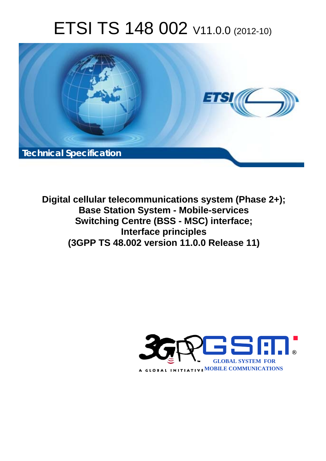# ETSI TS 148 002 V11.0.0 (2012-10)



**Digital cellular telecommunications system (Phase 2+); Base Station System - Mobile-services Switching Centre (BSS - MSC) interface; Interface principles (3GPP TS 48.002 version 11.0.0 Release 11)** 

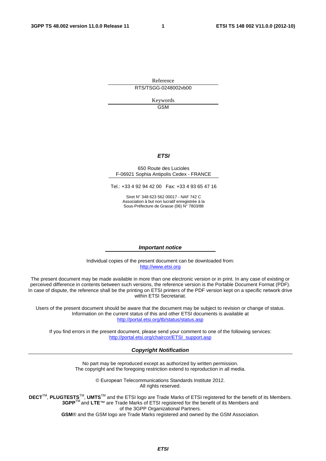Reference RTS/TSGG-0248002vb00

> Keywords GSM

#### *ETSI*

#### 650 Route des Lucioles F-06921 Sophia Antipolis Cedex - FRANCE

Tel.: +33 4 92 94 42 00 Fax: +33 4 93 65 47 16

Siret N° 348 623 562 00017 - NAF 742 C Association à but non lucratif enregistrée à la Sous-Préfecture de Grasse (06) N° 7803/88

#### *Important notice*

Individual copies of the present document can be downloaded from: [http://www.etsi.org](http://www.etsi.org/)

The present document may be made available in more than one electronic version or in print. In any case of existing or perceived difference in contents between such versions, the reference version is the Portable Document Format (PDF). In case of dispute, the reference shall be the printing on ETSI printers of the PDF version kept on a specific network drive within ETSI Secretariat.

Users of the present document should be aware that the document may be subject to revision or change of status. Information on the current status of this and other ETSI documents is available at <http://portal.etsi.org/tb/status/status.asp>

If you find errors in the present document, please send your comment to one of the following services: [http://portal.etsi.org/chaircor/ETSI\\_support.asp](http://portal.etsi.org/chaircor/ETSI_support.asp)

#### *Copyright Notification*

No part may be reproduced except as authorized by written permission. The copyright and the foregoing restriction extend to reproduction in all media.

> © European Telecommunications Standards Institute 2012. All rights reserved.

**DECT**TM, **PLUGTESTS**TM, **UMTS**TM and the ETSI logo are Trade Marks of ETSI registered for the benefit of its Members. **3GPP**TM and **LTE**™ are Trade Marks of ETSI registered for the benefit of its Members and of the 3GPP Organizational Partners.

**GSM**® and the GSM logo are Trade Marks registered and owned by the GSM Association.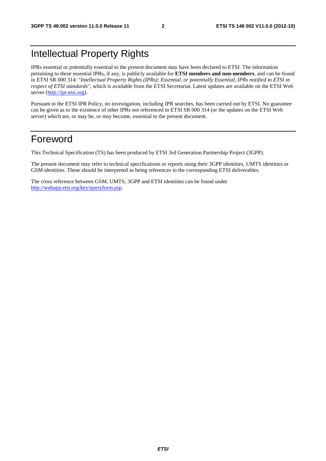### Intellectual Property Rights

IPRs essential or potentially essential to the present document may have been declared to ETSI. The information pertaining to these essential IPRs, if any, is publicly available for **ETSI members and non-members**, and can be found in ETSI SR 000 314: *"Intellectual Property Rights (IPRs); Essential, or potentially Essential, IPRs notified to ETSI in respect of ETSI standards"*, which is available from the ETSI Secretariat. Latest updates are available on the ETSI Web server [\(http://ipr.etsi.org](http://webapp.etsi.org/IPR/home.asp)).

Pursuant to the ETSI IPR Policy, no investigation, including IPR searches, has been carried out by ETSI. No guarantee can be given as to the existence of other IPRs not referenced in ETSI SR 000 314 (or the updates on the ETSI Web server) which are, or may be, or may become, essential to the present document.

### Foreword

This Technical Specification (TS) has been produced by ETSI 3rd Generation Partnership Project (3GPP).

The present document may refer to technical specifications or reports using their 3GPP identities, UMTS identities or GSM identities. These should be interpreted as being references to the corresponding ETSI deliverables.

The cross reference between GSM, UMTS, 3GPP and ETSI identities can be found under [http://webapp.etsi.org/key/queryform.asp.](http://webapp.etsi.org/key/queryform.asp)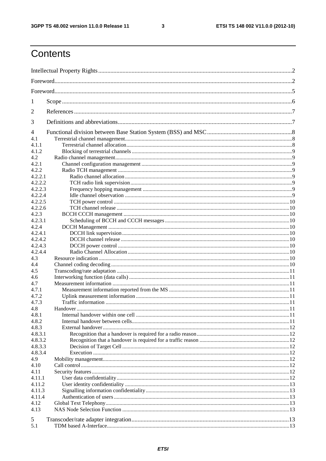$\mathbf{3}$ 

### Contents

| 1              |  |
|----------------|--|
| 2              |  |
| 3              |  |
| $\overline{4}$ |  |
| 4.1            |  |
| 4.1.1          |  |
| 4.1.2          |  |
| 4.2            |  |
| 4.2.1          |  |
| 4.2.2          |  |
| 4.2.2.1        |  |
| 4.2.2.2        |  |
| 4.2.2.3        |  |
| 4.2.2.4        |  |
| 4.2.2.5        |  |
| 4.2.2.6        |  |
| 4.2.3          |  |
| 4.2.3.1        |  |
| 4.2.4          |  |
| 4.2.4.1        |  |
| 4.2.4.2        |  |
| 4.2.4.3        |  |
| 4.2.4.4        |  |
| 4.3            |  |
| 4.4            |  |
| 4.5            |  |
| 4.6            |  |
| 4.7            |  |
| 4.7.1          |  |
| 4.7.2          |  |
| 4.7.3          |  |
| 4.8            |  |
| 4.8.1          |  |
| 4.8.2          |  |
| 4.8.3          |  |
| 4.8.3.1        |  |
| 4.8.3.2        |  |
| 4.8.3.3        |  |
| 4.8.3.4        |  |
| 4.9            |  |
| 4.10           |  |
| 4.11           |  |
| 4.11.1         |  |
| 4.11.2         |  |
| 4.11.3         |  |
| 4.11.4         |  |
| 4.12           |  |
| 4.13           |  |
|                |  |
| 5              |  |
| 5.1            |  |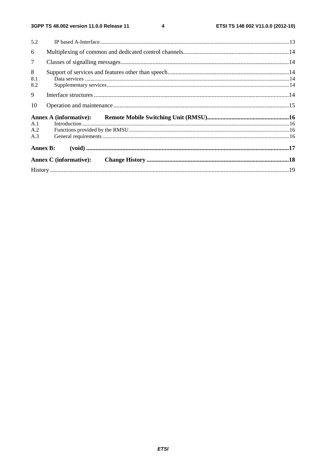| 5.2             |                               |  |
|-----------------|-------------------------------|--|
| 6               |                               |  |
| $7\overline{ }$ |                               |  |
| 8<br>8.1<br>8.2 |                               |  |
| 9               |                               |  |
| 10              |                               |  |
|                 |                               |  |
| A.1             |                               |  |
| A.2             |                               |  |
| A.3             |                               |  |
|                 | <b>Annex B:</b>               |  |
|                 | <b>Annex C</b> (informative): |  |
|                 |                               |  |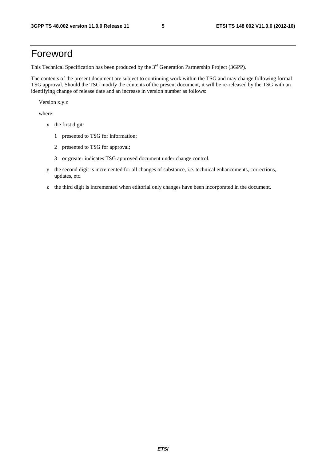### Foreword

This Technical Specification has been produced by the 3<sup>rd</sup> Generation Partnership Project (3GPP).

The contents of the present document are subject to continuing work within the TSG and may change following formal TSG approval. Should the TSG modify the contents of the present document, it will be re-released by the TSG with an identifying change of release date and an increase in version number as follows:

Version x.y.z

where:

- x the first digit:
	- 1 presented to TSG for information;
	- 2 presented to TSG for approval;
	- 3 or greater indicates TSG approved document under change control.
- y the second digit is incremented for all changes of substance, i.e. technical enhancements, corrections, updates, etc.
- z the third digit is incremented when editorial only changes have been incorporated in the document.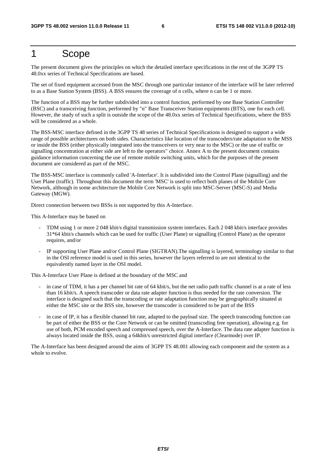### 1 Scope

The present document gives the principles on which the detailed interface specifications in the rest of the 3GPP TS 48.0xx series of Technical Specifications are based.

The set of fixed equipment accessed from the MSC through one particular instance of the interface will be later referred to as a Base Station System (BSS). A BSS ensures the coverage of n cells, where n can be 1 or more.

The function of a BSS may be further subdivided into a control function, performed by one Base Station Controller (BSC) and a transceiving function, performed by "n" Base Transceiver Station equipments (BTS), one for each cell. However, the study of such a split is outside the scope of the 48.0xx series of Technical Specifications, where the BSS will be considered as a whole.

The BSS-MSC interface defined in the 3GPP TS 48 series of Technical Specifications is designed to support a wide range of possible architectures on both sides. Characteristics like location of the transcoders/rate adaptation to the MSS or inside the BSS (either physically integrated into the transceivers or very near to the MSC) or the use of traffic or signalling concentration at either side are left to the operators" choice. Annex A to the present document contains guidance information concerning the use of remote mobile switching units, which for the purposes of the present document are considered as part of the MSC.

The BSS-MSC interface is commonly called 'A-Interface'. It is subdivided into the Control Plane (signalling) and the User Plane (traffic). Throughout this document the term 'MSC' is used to reflect both planes of the Mobile Core Network, although in some architecture the Mobile Core Network is split into MSC-Server (MSC-S) and Media Gateway (MGW).

Direct connection between two BSSs is not supported by this A-Interface.

This A-Interface may be based on

- TDM using 1 or more 2 048 kbit/s digital transmission system interfaces. Each 2 048 kbit/s interface provides 31\*64 kbit/s channels which can be used for traffic (User Plane) or signalling (Control Plane) as the operator requires, and/or
- IP supporting User Plane and/or Control Plane (SIGTRAN).The signalling is layered, terminology similar to that in the OSI reference model is used in this series, however the layers referred to are not identical to the equivalently named layer in the OSI model.

This A-Interface User Plane is defined at the boundary of the MSC and

- in case of TDM, it has a per channel bit rate of 64 kbit/s, but the net radio path traffic channel is at a rate of less than 16 kbit/s. A speech transcoder or data rate adapter function is thus needed for the rate conversion. The interface is designed such that the transcoding or rate adaptation function may be geographically situated at either the MSC site or the BSS site, however the transcoder is considered to be part of the BSS
- in case of IP, it has a flexible channel bit rate, adapted to the payload size. The speech transcoding function can be part of either the BSS or the Core Network or can be omitted (transcoding free operation), allowing e.g. for use of both, PCM encoded speech and compressed speech, over the A-Interface. The data rate adapter function is always located inside the BSS, using a 64kbit/s unrestricted digital interface (Clearmode) over IP.

The A-Interface has been designed around the aims of 3GPP TS 48.001 allowing each component and the system as a whole to evolve.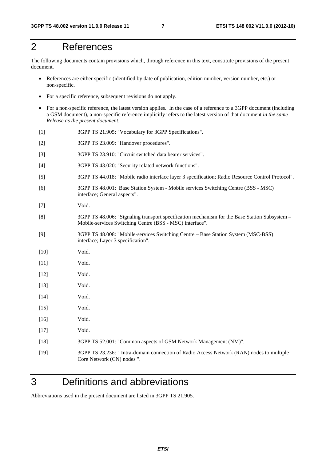### 2 References

The following documents contain provisions which, through reference in this text, constitute provisions of the present document.

- References are either specific (identified by date of publication, edition number, version number, etc.) or non-specific.
- For a specific reference, subsequent revisions do not apply.
- For a non-specific reference, the latest version applies. In the case of a reference to a 3GPP document (including a GSM document), a non-specific reference implicitly refers to the latest version of that document *in the same Release as the present document*.
- [1] 3GPP TS 21.905: "Vocabulary for 3GPP Specifications".
- [2] 3GPP TS 23.009: "Handover procedures".
- [3] 3GPP TS 23.910: "Circuit switched data bearer services".
- [4] 3GPP TS 43.020: "Security related network functions".
- [5] 3GPP TS 44.018: "Mobile radio interface layer 3 specification; Radio Resource Control Protocol".
- [6] 3GPP TS 48.001: Base Station System Mobile services Switching Centre (BSS MSC) interface; General aspects".
- [7] Void.
- [8] 3GPP TS 48.006: "Signaling transport specification mechanism for the Base Station Subsystem Mobile-services Switching Centre (BSS - MSC) interface".
- [9] 3GPP TS 48.008: "Mobile-services Switching Centre Base Station System (MSC-BSS) interface; Layer 3 specification".
- [10] **Void.**
- [11] Void.
- [12] **Void.**
- [13] **Void.**
- [14] **Void.**
- [15] Void.
- [16] Void.
- [17] Void.
- [18] 3GPP TS 52.001: "Common aspects of GSM Network Management (NM)".
- [19] 3GPP TS 23.236: " Intra-domain connection of Radio Access Network (RAN) nodes to multiple Core Network (CN) nodes ".

### 3 Definitions and abbreviations

Abbreviations used in the present document are listed in 3GPP TS 21.905.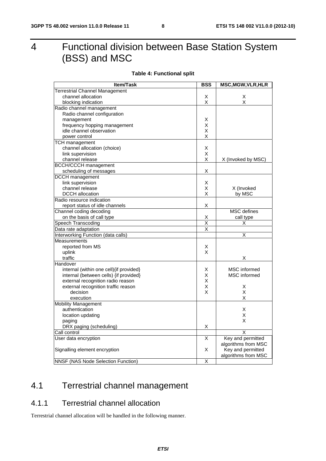### 4 Functional division between Base Station System (BSS) and MSC

#### **Table 4: Functional split**

| Item/Task                                 | <b>BSS</b>                   | <b>MSC, MGW, VLR, HLR</b> |
|-------------------------------------------|------------------------------|---------------------------|
| <b>Terrestrial Channel Management</b>     |                              |                           |
| channel allocation                        | X                            | Χ                         |
| blocking indication                       | X                            | Χ                         |
| Radio channel management                  |                              |                           |
| Radio channel configuration               |                              |                           |
| management                                | Х                            |                           |
| frequency hopping management              | X                            |                           |
| idle channel observation                  | X                            |                           |
| power control                             | X                            |                           |
| <b>TCH management</b>                     |                              |                           |
| channel allocation (choice)               | Х                            |                           |
| link supervision                          | X                            |                           |
| channel release                           | X                            | X (Invoked by MSC)        |
| <b>BCCH/CCCH</b> management               |                              |                           |
| scheduling of messages                    | х                            |                           |
| <b>DCCH</b> management                    |                              |                           |
| link supervision                          | X                            |                           |
| channel release                           | Х                            | X (Invoked                |
| <b>DCCH</b> allocation                    | X                            | by MSC                    |
| Radio resource indication                 |                              |                           |
| report status of idle channels            | Х                            |                           |
| Channel coding decoding                   |                              | <b>MSC</b> defines        |
| on the basis of call type                 | Χ                            | call type                 |
| Speech Transcoding                        | $\overline{\mathsf{x}}$<br>X | Χ                         |
| Data rate adaptation                      |                              | X                         |
| Interworking Function (data calls)        |                              |                           |
| <b>Measurements</b><br>reported from MS   | х                            |                           |
| uplink                                    | X                            |                           |
| traffic                                   |                              | X                         |
| Handover                                  |                              |                           |
| internal (within one cell) {if provided}  | х                            | <b>MSC</b> informed       |
| internal (between cells) {if provided}    | Χ                            | MSC informed              |
| external recognition radio reason         | X                            |                           |
| external recognition traffic reason       | Χ                            | х                         |
| decision                                  | X                            | Χ                         |
| execution                                 |                              | X                         |
| <b>Mobility Management</b>                |                              |                           |
| authentication                            |                              | х                         |
| location updating                         |                              | X                         |
| paging                                    |                              | X                         |
| DRX paging (scheduling)                   | Χ                            |                           |
| Call control                              |                              | Χ                         |
| User data encryption                      | X                            | Key and permitted         |
|                                           |                              | algorithms from MSC       |
| Signalling element encryption             | X                            | Key and permitted         |
|                                           |                              | algorithms from MSC       |
| <b>NNSF (NAS Node Selection Function)</b> | X                            |                           |

### 4.1 Terrestrial channel management

#### 4.1.1 Terrestrial channel allocation

Terrestrial channel allocation will be handled in the following manner.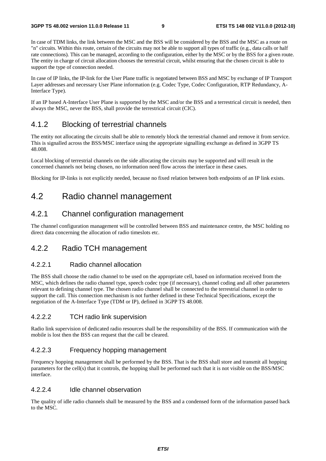In case of TDM links, the link between the MSC and the BSS will be considered by the BSS and the MSC as a route on "n" circuits. Within this route, certain of the circuits may not be able to support all types of traffic (e.g., data calls or half rate connections). This can be managed, according to the configuration, either by the MSC or by the BSS for a given route. The entity in charge of circuit allocation chooses the terrestrial circuit, whilst ensuring that the chosen circuit is able to support the type of connection needed.

In case of IP links, the IP-link for the User Plane traffic is negotiated between BSS and MSC by exchange of IP Transport Layer addresses and necessary User Plane information (e.g. Codec Type, Codec Configuration, RTP Redundancy, A-Interface Type).

If an IP based A-Interface User Plane is supported by the MSC and/or the BSS and a terrestrical circuit is needed, then always the MSC, never the BSS, shall provide the terrestrical circuit (CIC).

#### 4.1.2 Blocking of terrestrial channels

The entity not allocating the circuits shall be able to remotely block the terrestrial channel and remove it from service. This is signalled across the BSS/MSC interface using the appropriate signalling exchange as defined in 3GPP TS 48.008.

Local blocking of terrestrial channels on the side allocating the circuits may be supported and will result in the concerned channels not being chosen, no information need flow across the interface in these cases.

Blocking for IP-links is not explicitly needed, because no fixed relation between both endpoints of an IP link exists.

### 4.2 Radio channel management

#### 4.2.1 Channel configuration management

The channel configuration management will be controlled between BSS and maintenance centre, the MSC holding no direct data concerning the allocation of radio timeslots etc.

#### 4.2.2 Radio TCH management

#### 4.2.2.1 Radio channel allocation

The BSS shall choose the radio channel to be used on the appropriate cell, based on information received from the MSC, which defines the radio channel type, speech codec type (if necessary), channel coding and all other parameters relevant to defining channel type. The chosen radio channel shall be connected to the terrestrial channel in order to support the call. This connection mechanism is not further defined in these Technical Specifications, except the negotiation of the A-Interface Type (TDM or IP), defined in 3GPP TS 48.008.

#### 4.2.2.2 TCH radio link supervision

Radio link supervision of dedicated radio resources shall be the responsibility of the BSS. If communication with the mobile is lost then the BSS can request that the call be cleared.

#### 4.2.2.3 Frequency hopping management

Frequency hopping management shall be performed by the BSS. That is the BSS shall store and transmit all hopping parameters for the cell(s) that it controls, the hopping shall be performed such that it is not visible on the BSS/MSC interface.

#### 4.2.2.4 Idle channel observation

The quality of idle radio channels shall be measured by the BSS and a condensed form of the information passed back to the MSC.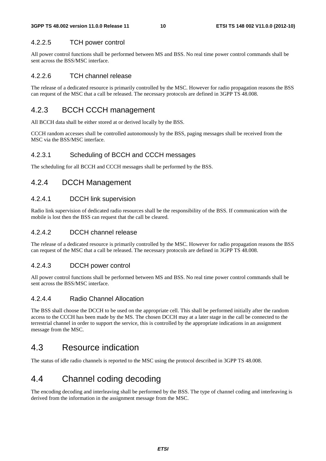#### 4.2.2.5 TCH power control

All power control functions shall be performed between MS and BSS. No real time power control commands shall be sent across the BSS/MSC interface.

#### 4.2.2.6 TCH channel release

The release of a dedicated resource is primarily controlled by the MSC. However for radio propagation reasons the BSS can request of the MSC that a call be released. The necessary protocols are defined in 3GPP TS 48.008.

#### 4.2.3 BCCH CCCH management

All BCCH data shall be either stored at or derived locally by the BSS.

CCCH random accesses shall be controlled autonomously by the BSS, paging messages shall be received from the MSC via the BSS/MSC interface.

#### 4.2.3.1 Scheduling of BCCH and CCCH messages

The scheduling for all BCCH and CCCH messages shall be performed by the BSS.

#### 4.2.4 DCCH Management

#### 4.2.4.1 DCCH link supervision

Radio link supervision of dedicated radio resources shall be the responsibility of the BSS. If communication with the mobile is lost then the BSS can request that the call be cleared.

#### 4.2.4.2 DCCH channel release

The release of a dedicated resource is primarily controlled by the MSC. However for radio propagation reasons the BSS can request of the MSC that a call be released. The necessary protocols are defined in 3GPP TS 48.008.

#### 4.2.4.3 DCCH power control

All power control functions shall be performed between MS and BSS. No real time power control commands shall be sent across the BSS/MSC interface.

#### 4.2.4.4 Radio Channel Allocation

The BSS shall choose the DCCH to be used on the appropriate cell. This shall be performed initially after the random access to the CCCH has been made by the MS. The chosen DCCH may at a later stage in the call be connected to the terrestrial channel in order to support the service, this is controlled by the appropriate indications in an assignment message from the MSC.

### 4.3 Resource indication

The status of idle radio channels is reported to the MSC using the protocol described in 3GPP TS 48.008.

### 4.4 Channel coding decoding

The encoding decoding and interleaving shall be performed by the BSS. The type of channel coding and interleaving is derived from the information in the assignment message from the MSC.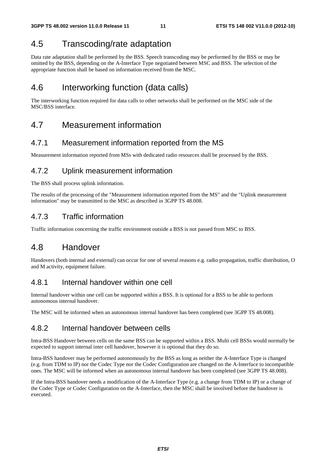### 4.5 Transcoding/rate adaptation

Data rate adaptation shall be performed by the BSS. Speech transcoding may be performed by the BSS or may be omitted by the BSS, depending on the A-Interface Type negotiated between MSC and BSS. The selection of the appropriate function shall be based on information received from the MSC.

### 4.6 Interworking function (data calls)

The interworking function required for data calls to other networks shall be performed on the MSC side of the MSC/BSS interface.

### 4.7 Measurement information

#### 4.7.1 Measurement information reported from the MS

Measurement information reported from MSs with dedicated radio resources shall be processed by the BSS.

#### 4.7.2 Uplink measurement information

The BSS shall process uplink information.

The results of the processing of the "Measurement information reported from the MS" and the "Uplink measurement information" may be transmitted to the MSC as described in 3GPP TS 48.008.

### 4.7.3 Traffic information

Traffic information concerning the traffic environment outside a BSS is not passed from MSC to BSS.

### 4.8 Handover

Handovers (both internal and external) can occur for one of several reasons e.g. radio propagation, traffic distribution, O and M activity, equipment failure.

#### 4.8.1 Internal handover within one cell

Internal handover within one cell can be supported within a BSS. It is optional for a BSS to be able to perform autonomous internal handover.

The MSC will be informed when an autonomous internal handover has been completed (see 3GPP TS 48.008).

#### 4.8.2 Internal handover between cells

Intra-BSS Handover between cells on the same BSS can be supported within a BSS. Multi cell BSSs would normally be expected to support internal inter cell handover, however it is optional that they do so.

Intra-BSS handover may be performed autonomously by the BSS as long as neither the A-Interface Type is changed (e.g. from TDM to IP) nor the Codec Type nor the Codec Configuration are changed on the A-Interface to incompatible ones. The MSC will be informed when an autonomous internal handover has been completed (see 3GPP TS 48.008).

If the Intra-BSS handover needs a modification of the A-Interface Type (e.g. a change from TDM to IP) or a change of the Codec Type or Codec Configuration on the A-Interface, then the MSC shall be involved before the handover is executed.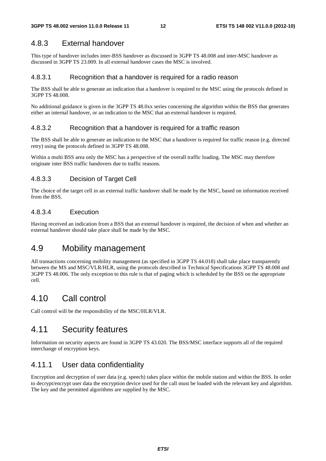#### 4.8.3 External handover

This type of handover includes inter-BSS handover as discussed in 3GPP TS 48.008 and inter-MSC handover as discussed in 3GPP TS 23.009. In all external handover cases the MSC is involved.

#### 4.8.3.1 Recognition that a handover is required for a radio reason

The BSS shall be able to generate an indication that a handover is required to the MSC using the protocols defined in 3GPP TS 48.008.

No additional guidance is given in the 3GPP TS 48.0xx series concerning the algorithm within the BSS that generates either an internal handover, or an indication to the MSC that an external handover is required.

#### 4.8.3.2 Recognition that a handover is required for a traffic reason

The BSS shall be able to generate an indication to the MSC that a handover is required for traffic reason (e.g. directed retry) using the protocols defined in 3GPP TS 48.008.

Within a multi BSS area only the MSC has a perspective of the overall traffic loading. The MSC may therefore originate inter BSS traffic handovers due to traffic reasons.

#### 4.8.3.3 Decision of Target Cell

The choice of the target cell in an external traffic handover shall be made by the MSC, based on information received from the BSS.

#### 4.8.3.4 Execution

Having received an indication from a BSS that an external handover is required, the decision of when and whether an external handover should take place shall be made by the MSC.

### 4.9 Mobility management

All transactions concerning mobility management (as specified in 3GPP TS 44.018) shall take place transparently between the MS and MSC/VLR/HLR, using the protocols described in Technical Specifications 3GPP TS 48.008 and 3GPP TS 48.006. The only exception to this rule is that of paging which is scheduled by the BSS on the appropriate cell.

### 4.10 Call control

Call control will be the responsibility of the MSC/HLR/VLR.

### 4.11 Security features

Information on security aspects are found in 3GPP TS 43.020. The BSS/MSC interface supports all of the required interchange of encryption keys.

#### 4.11.1 User data confidentiality

Encryption and decryption of user data (e.g. speech) takes place within the mobile station and within the BSS. In order to decrypt/encrypt user data the encryption device used for the call must be loaded with the relevant key and algorithm. The key and the permitted algorithms are supplied by the MSC.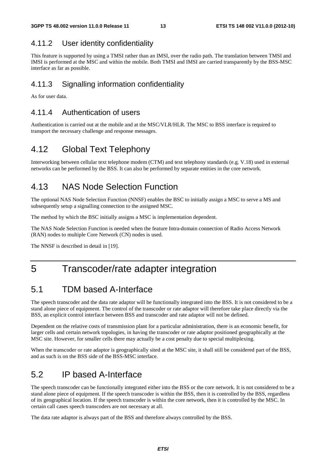### 4.11.2 User identity confidentiality

This feature is supported by using a TMSI rather than an IMSI, over the radio path. The translation between TMSI and IMSI is performed at the MSC and within the mobile. Both TMSI and IMSI are carried transparently by the BSS-MSC interface as far as possible.

#### 4.11.3 Signalling information confidentiality

As for user data.

#### 4.11.4 Authentication of users

Authentication is carried out at the mobile and at the MSC/VLR/HLR. The MSC to BSS interface is required to transport the necessary challenge and response messages.

### 4.12 Global Text Telephony

Interworking between cellular text telephone modem (CTM) and text telephony standards (e.g. V.18) used in external networks can be performed by the BSS. It can also be performed by separate entities in the core network.

### 4.13 NAS Node Selection Function

The optional NAS Node Selection Function (NNSF) enables the BSC to initially assign a MSC to serve a MS and subsequently setup a signalling connection to the assigned MSC.

The method by which the BSC initially assigns a MSC is implementation dependent.

The NAS Node Selection Function is needed when the feature Intra-domain connection of Radio Access Network (RAN) nodes to multiple Core Network (CN) nodes is used.

The NNSF is described in detail in [19].

### 5 Transcoder/rate adapter integration

### 5.1 TDM based A-Interface

The speech transcoder and the data rate adaptor will be functionally integrated into the BSS. It is not considered to be a stand alone piece of equipment. The control of the transcoder or rate adaptor will therefore take place directly via the BSS, an explicit control interface between BSS and transcoder and rate adaptor will not be defined.

Dependent on the relative costs of transmission plant for a particular administration, there is an economic benefit, for larger cells and certain network topologies, in having the transcoder or rate adaptor positioned geographically at the MSC site. However, for smaller cells there may actually be a cost penalty due to special multiplexing.

When the transcoder or rate adaptor is geographically sited at the MSC site, it shall still be considered part of the BSS, and as such is on the BSS side of the BSS-MSC interface.

### 5.2 IP based A-Interface

The speech transcoder can be functionally integrated either into the BSS or the core network. It is not considered to be a stand alone piece of equipment. If the speech transcoder is within the BSS, then it is controlled by the BSS, regardless of its geographical location. If the speech transcoder is within the core network, then it is controlled by the MSC. In certain call cases speech transcoders are not necessary at all.

The data rate adaptor is always part of the BSS and therefore always controlled by the BSS.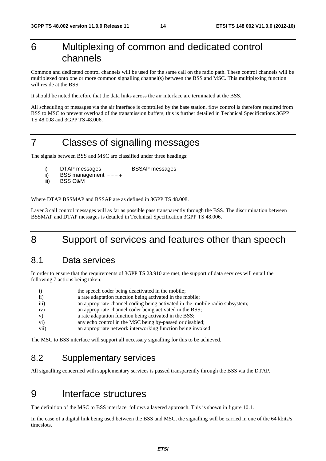### 6 Multiplexing of common and dedicated control channels

Common and dedicated control channels will be used for the same call on the radio path. These control channels will be multiplexed onto one or more common signalling channel(s) between the BSS and MSC. This multiplexing function will reside at the BSS.

It should be noted therefore that the data links across the air interface are terminated at the BSS.

All scheduling of messages via the air interface is controlled by the base station, flow control is therefore required from BSS to MSC to prevent overload of the transmission buffers, this is further detailed in Technical Specifications 3GPP TS 48.008 and 3GPP TS 48.006.

### 7 Classes of signalling messages

The signals between BSS and MSC are classified under three headings:

- i) DTAP messages ------ BSSAP messages
- ii) BSS management  $---+$
- iii) BSS O&M

Where DTAP BSSMAP and BSSAP are as defined in 3GPP TS 48.008.

Layer 3 call control messages will as far as possible pass transparently through the BSS. The discrimination between BSSMAP and DTAP messages is detailed in Technical Specification 3GPP TS 48.006.

### 8 Support of services and features other than speech

#### 8.1 Data services

In order to ensure that the requirements of 3GPP TS 23.910 are met, the support of data services will entail the following 7 actions being taken:

| i)                 | the speech coder being deactivated in the mobile;                            |
|--------------------|------------------------------------------------------------------------------|
| $\overline{ii}$    | a rate adaptation function being activated in the mobile;                    |
| $\overline{111}$ ) | an appropriate channel coding being activated in the mobile radio subsystem; |
| iv)                | an appropriate channel coder being activated in the BSS;                     |
| V)                 | a rate adaptation function being activated in the BSS;                       |
| $\mathbf{vi})$     | any echo control in the MSC being by-passed or disabled;                     |
| vii)               | an appropriate network interworking function being invoked.                  |

The MSC to BSS interface will support all necessary signalling for this to be achieved.

### 8.2 Supplementary services

All signalling concerned with supplementary services is passed transparently through the BSS via the DTAP.

### 9 Interface structures

The definition of the MSC to BSS interface follows a layered approach. This is shown in figure 10.1.

In the case of a digital link being used between the BSS and MSC, the signalling will be carried in one of the 64 kbits/s timeslots.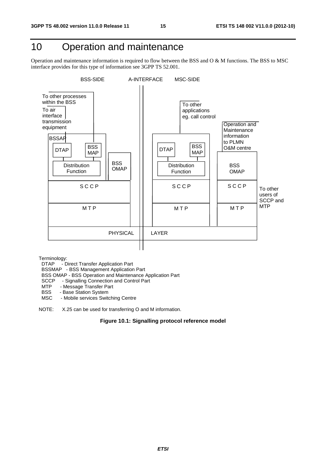### 10 Operation and maintenance

Operation and maintenance information is required to flow between the BSS and O & M functions. The BSS to MSC interface provides for this type of information see 3GPP TS 52.001.



Terminology:<br>DTAP - D

- Direct Transfer Application Part

BSSMAP - BSS Management Application Part

BSS OMAP - BSS Operation and Maintenance Application Part

SCCP - Signalling Connection and Control Part<br>MTP - Message Transfer Part

MTP - Message Transfer Part<br>BSS - Base Station System

- Base Station System

MSC - Mobile services Switching Centre

NOTE: X.25 can be used for transferring O and M information.

#### **Figure 10.1: Signalling protocol reference model**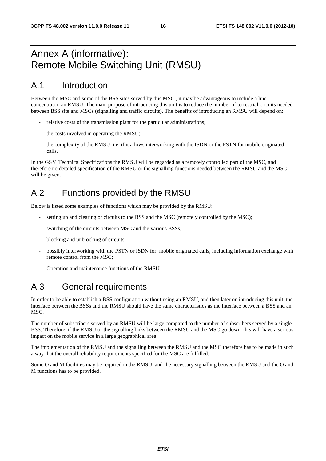### Annex A (informative): Remote Mobile Switching Unit (RMSU)

### A.1 Introduction

Between the MSC and some of the BSS sites served by this MSC , it may be advantageous to include a line concentrator, an RMSU. The main purpose of introducing this unit is to reduce the number of terrestrial circuits needed between BSS site and MSCs (signalling and traffic circuits). The benefits of introducing an RMSU will depend on:

- relative costs of the transmission plant for the particular administrations;
- the costs involved in operating the RMSU;
- the complexity of the RMSU, i.e. if it allows interworking with the ISDN or the PSTN for mobile originated calls.

In the GSM Technical Specifications the RMSU will be regarded as a remotely controlled part of the MSC, and therefore no detailed specification of the RMSU or the signalling functions needed between the RMSU and the MSC will be given.

### A.2 Functions provided by the RMSU

Below is listed some examples of functions which may be provided by the RMSU:

- setting up and clearing of circuits to the BSS and the MSC (remotely controlled by the MSC);
- switching of the circuits between MSC and the various BSSs;
- blocking and unblocking of circuits;
- possibly interworking with the PSTN or ISDN for mobile originated calls, including information exchange with remote control from the MSC;
- Operation and maintenance functions of the RMSU.

### A.3 General requirements

In order to be able to establish a BSS configuration without using an RMSU, and then later on introducing this unit, the interface between the BSSs and the RMSU should have the same characteristics as the interface between a BSS and an MSC.

The number of subscribers served by an RMSU will be large compared to the number of subscribers served by a single BSS. Therefore, if the RMSU or the signalling links between the RMSU and the MSC go down, this will have a serious impact on the mobile service in a large geographical area.

The implementation of the RMSU and the signalling between the RMSU and the MSC therefore has to be made in such a way that the overall reliability requirements specified for the MSC are fulfilled.

Some O and M facilities may be required in the RMSU, and the necessary signalling between the RMSU and the O and M functions has to be provided.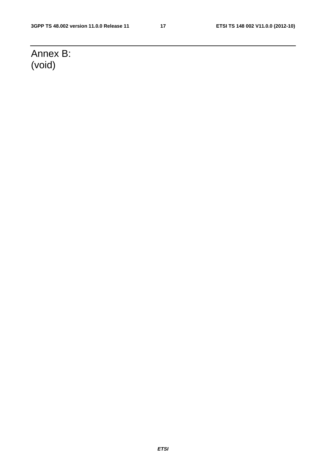## Annex B: (void)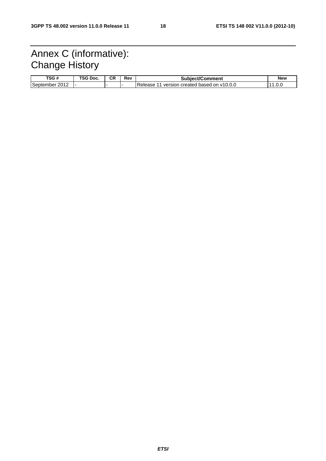### Annex C (informative): Change History

| TSG #                       | TSG Doc. | СR | Rev | <b>Subiect/Comment</b>                                         | <b>New</b> |
|-----------------------------|----------|----|-----|----------------------------------------------------------------|------------|
| 2012<br>September<br>20 I Z |          |    |     | Release<br>$\, \circ$ created based on v10.0.0 $\,$<br>version | . . ک      |